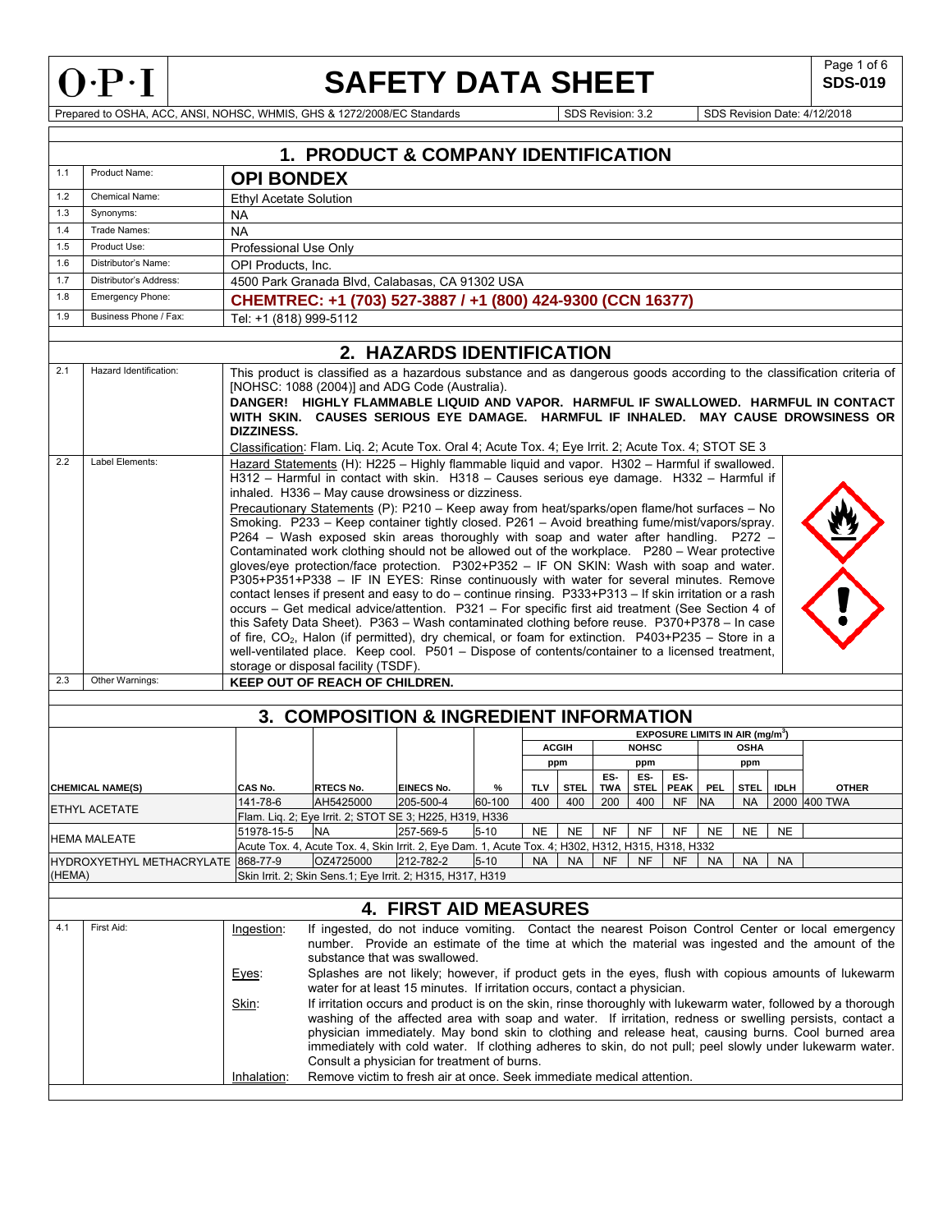

**SDS-019** 

Prepared to OSHA, ACC, ANSI, NOHSC, WHMIS, GHS & 1272/2008/EC Standards Superintendent Superintendent Superintendent Superintendent Superintendent Superintendent Superintendent Superintendent Superintendent Superintendent

|        |                                                                                                                                        |                               | <b>1. PRODUCT &amp; COMPANY IDENTIFICATION</b>                                                                                                                                     |                                |             |                   |                    |            |                    |                          |                                             |                   |             |                                                                                                                        |
|--------|----------------------------------------------------------------------------------------------------------------------------------------|-------------------------------|------------------------------------------------------------------------------------------------------------------------------------------------------------------------------------|--------------------------------|-------------|-------------------|--------------------|------------|--------------------|--------------------------|---------------------------------------------|-------------------|-------------|------------------------------------------------------------------------------------------------------------------------|
| 1.1    | Product Name:                                                                                                                          | <b>OPI BONDEX</b>             |                                                                                                                                                                                    |                                |             |                   |                    |            |                    |                          |                                             |                   |             |                                                                                                                        |
| 1.2    | Chemical Name:                                                                                                                         | <b>Ethyl Acetate Solution</b> |                                                                                                                                                                                    |                                |             |                   |                    |            |                    |                          |                                             |                   |             |                                                                                                                        |
| 1.3    | Synonyms:                                                                                                                              | <b>NA</b>                     |                                                                                                                                                                                    |                                |             |                   |                    |            |                    |                          |                                             |                   |             |                                                                                                                        |
| 1.4    | Trade Names:                                                                                                                           | <b>NA</b>                     |                                                                                                                                                                                    |                                |             |                   |                    |            |                    |                          |                                             |                   |             |                                                                                                                        |
| 1.5    | Product Use:                                                                                                                           |                               | Professional Use Only                                                                                                                                                              |                                |             |                   |                    |            |                    |                          |                                             |                   |             |                                                                                                                        |
| 1.6    | Distributor's Name:                                                                                                                    |                               | OPI Products. Inc.                                                                                                                                                                 |                                |             |                   |                    |            |                    |                          |                                             |                   |             |                                                                                                                        |
| 1.7    | Distributor's Address:                                                                                                                 |                               | 4500 Park Granada Blvd, Calabasas, CA 91302 USA                                                                                                                                    |                                |             |                   |                    |            |                    |                          |                                             |                   |             |                                                                                                                        |
| 1.8    | Emergency Phone:                                                                                                                       |                               | CHEMTREC: +1 (703) 527-3887 / +1 (800) 424-9300 (CCN 16377)                                                                                                                        |                                |             |                   |                    |            |                    |                          |                                             |                   |             |                                                                                                                        |
| 1.9    | Business Phone / Fax:                                                                                                                  | Tel: +1 (818) 999-5112        |                                                                                                                                                                                    |                                |             |                   |                    |            |                    |                          |                                             |                   |             |                                                                                                                        |
|        | 2. HAZARDS IDENTIFICATION                                                                                                              |                               |                                                                                                                                                                                    |                                |             |                   |                    |            |                    |                          |                                             |                   |             |                                                                                                                        |
| 2.1    | Hazard Identification:                                                                                                                 |                               | [NOHSC: 1088 (2004)] and ADG Code (Australia).                                                                                                                                     |                                |             |                   |                    |            |                    |                          |                                             |                   |             | This product is classified as a hazardous substance and as dangerous goods according to the classification criteria of |
|        |                                                                                                                                        |                               |                                                                                                                                                                                    |                                |             |                   |                    |            |                    |                          |                                             |                   |             | DANGER! HIGHLY FLAMMABLE LIQUID AND VAPOR. HARMFUL IF SWALLOWED. HARMFUL IN CONTACT                                    |
|        |                                                                                                                                        | DIZZINESS.                    |                                                                                                                                                                                    |                                |             |                   |                    |            |                    |                          |                                             |                   |             | WITH SKIN. CAUSES SERIOUS EYE DAMAGE. HARMFUL IF INHALED. MAY CAUSE DROWSINESS OR                                      |
|        |                                                                                                                                        |                               | Classification: Flam. Liq. 2; Acute Tox. Oral 4; Acute Tox. 4; Eye Irrit. 2; Acute Tox. 4; STOT SE 3                                                                               |                                |             |                   |                    |            |                    |                          |                                             |                   |             |                                                                                                                        |
| 2.2    | Label Elements:                                                                                                                        |                               | Hazard Statements (H): H225 - Highly flammable liquid and vapor. H302 - Harmful if swallowed.                                                                                      |                                |             |                   |                    |            |                    |                          |                                             |                   |             |                                                                                                                        |
|        |                                                                                                                                        |                               | H312 - Harmful in contact with skin. H318 - Causes serious eye damage. H332 - Harmful if<br>inhaled. H336 - May cause drowsiness or dizziness.                                     |                                |             |                   |                    |            |                    |                          |                                             |                   |             |                                                                                                                        |
|        |                                                                                                                                        |                               | Precautionary Statements (P): P210 - Keep away from heat/sparks/open flame/hot surfaces - No                                                                                       |                                |             |                   |                    |            |                    |                          |                                             |                   |             |                                                                                                                        |
|        |                                                                                                                                        |                               | Smoking. P233 - Keep container tightly closed. P261 - Avoid breathing fume/mist/vapors/spray.                                                                                      |                                |             |                   |                    |            |                    |                          |                                             |                   |             |                                                                                                                        |
|        |                                                                                                                                        |                               | P264 - Wash exposed skin areas thoroughly with soap and water after handling. P272 -                                                                                               |                                |             |                   |                    |            |                    |                          |                                             |                   |             |                                                                                                                        |
|        |                                                                                                                                        |                               | Contaminated work clothing should not be allowed out of the workplace. P280 - Wear protective                                                                                      |                                |             |                   |                    |            |                    |                          |                                             |                   |             |                                                                                                                        |
|        |                                                                                                                                        |                               | gloves/eye protection/face protection. P302+P352 - IF ON SKIN: Wash with soap and water.<br>P305+P351+P338 - IF IN EYES: Rinse continuously with water for several minutes. Remove |                                |             |                   |                    |            |                    |                          |                                             |                   |             |                                                                                                                        |
|        |                                                                                                                                        |                               | contact lenses if present and easy to do – continue rinsing. $P333+P313$ – If skin irritation or a rash                                                                            |                                |             |                   |                    |            |                    |                          |                                             |                   |             |                                                                                                                        |
|        |                                                                                                                                        |                               | occurs - Get medical advice/attention. P321 - For specific first aid treatment (See Section 4 of                                                                                   |                                |             |                   |                    |            |                    |                          |                                             |                   |             |                                                                                                                        |
|        |                                                                                                                                        |                               | this Safety Data Sheet). P363 - Wash contaminated clothing before reuse. P370+P378 - In case                                                                                       |                                |             |                   |                    |            |                    |                          |                                             |                   |             |                                                                                                                        |
|        |                                                                                                                                        |                               | of fire, $CO2$ , Halon (if permitted), dry chemical, or foam for extinction. P403+P235 – Store in a                                                                                |                                |             |                   |                    |            |                    |                          |                                             |                   |             |                                                                                                                        |
|        |                                                                                                                                        |                               | well-ventilated place. Keep cool. P501 - Dispose of contents/container to a licensed treatment,                                                                                    |                                |             |                   |                    |            |                    |                          |                                             |                   |             |                                                                                                                        |
|        |                                                                                                                                        |                               | storage or disposal facility (TSDF).                                                                                                                                               |                                |             |                   |                    |            |                    |                          |                                             |                   |             |                                                                                                                        |
| 2.3    | Other Warnings:                                                                                                                        |                               | KEEP OUT OF REACH OF CHILDREN.                                                                                                                                                     |                                |             |                   |                    |            |                    |                          |                                             |                   |             |                                                                                                                        |
|        |                                                                                                                                        |                               | 3. COMPOSITION & INGREDIENT INFORMATION                                                                                                                                            |                                |             |                   |                    |            |                    |                          |                                             |                   |             |                                                                                                                        |
|        |                                                                                                                                        |                               |                                                                                                                                                                                    |                                |             |                   |                    |            |                    |                          | EXPOSURE LIMITS IN AIR (mg/m <sup>3</sup> ) |                   |             |                                                                                                                        |
|        |                                                                                                                                        |                               |                                                                                                                                                                                    |                                |             |                   | <b>ACGIH</b>       |            | <b>NOHSC</b>       |                          |                                             | <b>OSHA</b>       |             |                                                                                                                        |
|        |                                                                                                                                        |                               |                                                                                                                                                                                    |                                |             |                   | ppm                |            | ppm                |                          |                                             | ppm               |             |                                                                                                                        |
|        |                                                                                                                                        |                               |                                                                                                                                                                                    |                                |             |                   |                    | ES-        | ES-                | ES-                      |                                             |                   |             |                                                                                                                        |
|        | <b>CHEMICAL NAME(S)</b>                                                                                                                | CAS No.<br>141-78-6           | <b>RTECS No.</b><br>AH5425000                                                                                                                                                      | <b>EINECS No.</b><br>205-500-4 | %<br>60-100 | <b>TLV</b><br>400 | <b>STEL</b><br>400 | TWA<br>200 | <b>STEL</b><br>400 | <b>PEAK</b><br><b>NF</b> | <b>PEL</b><br><b>NA</b>                     | STEL<br><b>NA</b> | <b>IDLH</b> | <b>OTHER</b><br>2000 400 TWA                                                                                           |
|        | ETHYL ACETATE                                                                                                                          |                               | Flam. Lig. 2; Eye Irrit. 2; STOT SE 3; H225, H319, H336                                                                                                                            |                                |             |                   |                    |            |                    |                          |                                             |                   |             |                                                                                                                        |
|        |                                                                                                                                        | 51978-15-5                    | <b>NA</b>                                                                                                                                                                          | 257-569-5                      | $5 - 10$    | NE                | <b>NE</b>          | NF         | NF                 | NF                       | <b>NE</b>                                   | <b>NE</b>         | <b>NE</b>   |                                                                                                                        |
|        | <b>HEMA MALEATE</b>                                                                                                                    |                               | Acute Tox. 4, Acute Tox. 4, Skin Irrit. 2, Eye Dam. 1, Acute Tox. 4; H302, H312, H315, H318, H332                                                                                  |                                |             |                   |                    |            |                    |                          |                                             |                   |             |                                                                                                                        |
|        | HYDROXYETHYL METHACRYLATE 868-77-9                                                                                                     |                               | OZ4725000                                                                                                                                                                          | 212-782-2                      | $5 - 10$    | <b>NA</b>         | <b>NA</b>          | NF         | NF                 | NF                       | <b>NA</b>                                   | <b>NA</b>         | <b>NA</b>   |                                                                                                                        |
| (HEMA) |                                                                                                                                        |                               | Skin Irrit. 2; Skin Sens.1; Eye Irrit. 2; H315, H317, H319                                                                                                                         |                                |             |                   |                    |            |                    |                          |                                             |                   |             |                                                                                                                        |
|        | <b>4. FIRST AID MEASURES</b>                                                                                                           |                               |                                                                                                                                                                                    |                                |             |                   |                    |            |                    |                          |                                             |                   |             |                                                                                                                        |
| 4.1    | First Aid:<br>If ingested, do not induce vomiting. Contact the nearest Poison Control Center or local emergency<br>Ingestion:          |                               |                                                                                                                                                                                    |                                |             |                   |                    |            |                    |                          |                                             |                   |             |                                                                                                                        |
|        | number. Provide an estimate of the time at which the material was ingested and the amount of the                                       |                               |                                                                                                                                                                                    |                                |             |                   |                    |            |                    |                          |                                             |                   |             |                                                                                                                        |
|        | substance that was swallowed.<br>Splashes are not likely; however, if product gets in the eyes, flush with copious amounts of lukewarm |                               |                                                                                                                                                                                    |                                |             |                   |                    |            |                    |                          |                                             |                   |             |                                                                                                                        |
|        |                                                                                                                                        | Eyes:                         | water for at least 15 minutes. If irritation occurs, contact a physician.                                                                                                          |                                |             |                   |                    |            |                    |                          |                                             |                   |             |                                                                                                                        |
|        |                                                                                                                                        | Skin:                         |                                                                                                                                                                                    |                                |             |                   |                    |            |                    |                          |                                             |                   |             | If irritation occurs and product is on the skin, rinse thoroughly with lukewarm water, followed by a thorough          |
|        |                                                                                                                                        |                               |                                                                                                                                                                                    |                                |             |                   |                    |            |                    |                          |                                             |                   |             | washing of the affected area with soap and water. If irritation, redness or swelling persists, contact a               |
|        |                                                                                                                                        |                               |                                                                                                                                                                                    |                                |             |                   |                    |            |                    |                          |                                             |                   |             | physician immediately. May bond skin to clothing and release heat, causing burns. Cool burned area                     |
|        |                                                                                                                                        |                               |                                                                                                                                                                                    |                                |             |                   |                    |            |                    |                          |                                             |                   |             | immediately with cold water. If clothing adheres to skin, do not pull; peel slowly under lukewarm water.               |
|        |                                                                                                                                        |                               | Consult a physician for treatment of burns.                                                                                                                                        |                                |             |                   |                    |            |                    |                          |                                             |                   |             |                                                                                                                        |
|        |                                                                                                                                        | Inhalation:                   | Remove victim to fresh air at once. Seek immediate medical attention.                                                                                                              |                                |             |                   |                    |            |                    |                          |                                             |                   |             |                                                                                                                        |
|        |                                                                                                                                        |                               |                                                                                                                                                                                    |                                |             |                   |                    |            |                    |                          |                                             |                   |             |                                                                                                                        |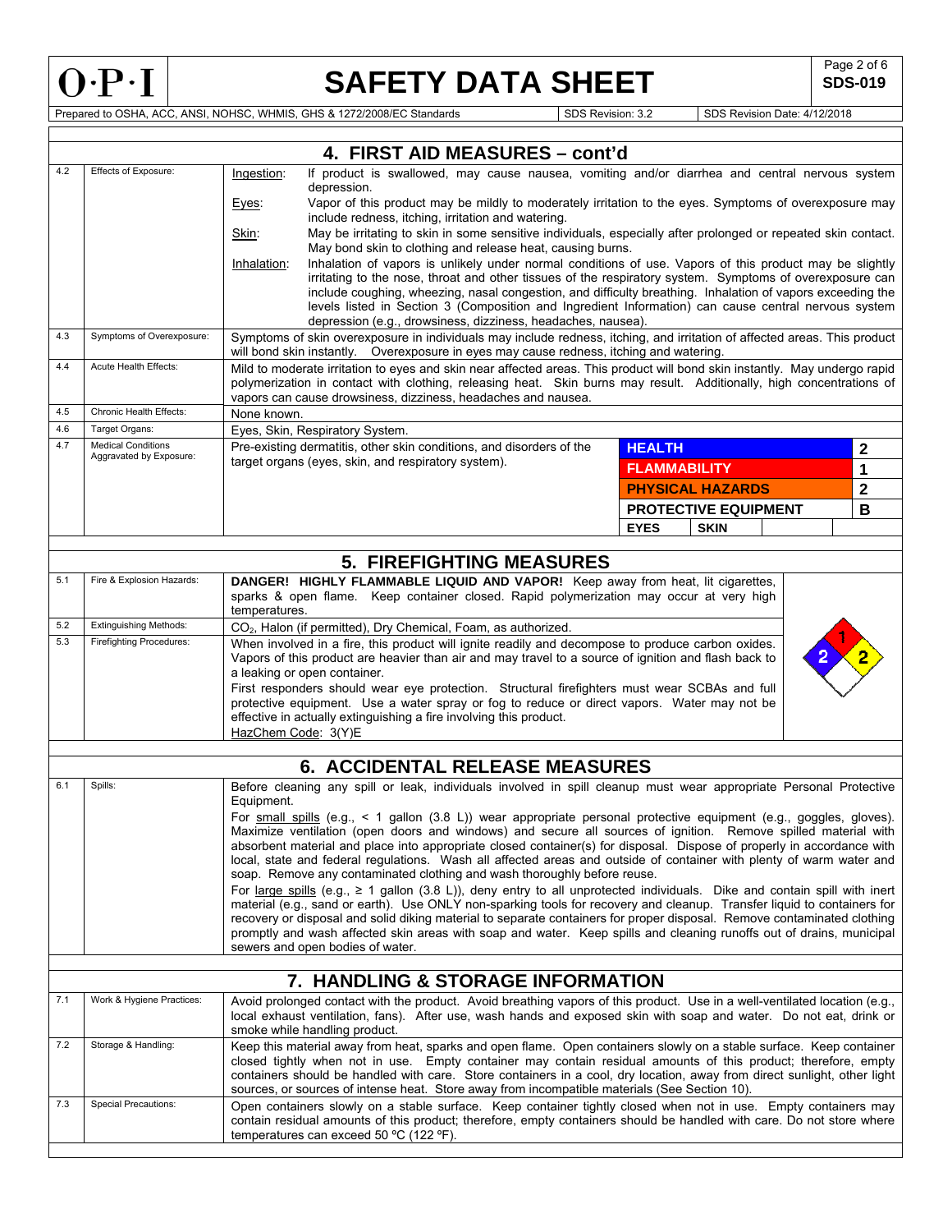

Г

# **SAFETY DATA SHEET** SDS-019

**SDS-019** 

Prepared to OSHA, ACC, ANSI, NOHSC, WHMIS, GHS & 1272/2008/EC Standards Superintendent Superintendent Superintendent Superintendent Superintendent Superintendent Superintendent Superintendent Superintendent Superintendent

|     |                                                                                                                                                                                                                                                                                                                |                                                                                                                                                                                                                                                                                                                                                                                                                                                                     |                                                                                                                                                                             |                                                     |                                                                            | 4. FIRST AID MEASURES - cont'd                                                                                                                                                                                                                     |               |                             |  |  |             |
|-----|----------------------------------------------------------------------------------------------------------------------------------------------------------------------------------------------------------------------------------------------------------------------------------------------------------------|---------------------------------------------------------------------------------------------------------------------------------------------------------------------------------------------------------------------------------------------------------------------------------------------------------------------------------------------------------------------------------------------------------------------------------------------------------------------|-----------------------------------------------------------------------------------------------------------------------------------------------------------------------------|-----------------------------------------------------|----------------------------------------------------------------------------|----------------------------------------------------------------------------------------------------------------------------------------------------------------------------------------------------------------------------------------------------|---------------|-----------------------------|--|--|-------------|
| 4.2 | Effects of Exposure:                                                                                                                                                                                                                                                                                           | If product is swallowed, may cause nausea, vomiting and/or diarrhea and central nervous system<br>Ingestion:                                                                                                                                                                                                                                                                                                                                                        |                                                                                                                                                                             |                                                     |                                                                            |                                                                                                                                                                                                                                                    |               |                             |  |  |             |
|     |                                                                                                                                                                                                                                                                                                                | Eyes:                                                                                                                                                                                                                                                                                                                                                                                                                                                               | depression.<br>Vapor of this product may be mildly to moderately irritation to the eyes. Symptoms of overexposure may<br>include redness, itching, irritation and watering. |                                                     |                                                                            |                                                                                                                                                                                                                                                    |               |                             |  |  |             |
|     |                                                                                                                                                                                                                                                                                                                | Skin:                                                                                                                                                                                                                                                                                                                                                                                                                                                               | May be irritating to skin in some sensitive individuals, especially after prolonged or repeated skin contact.                                                               |                                                     |                                                                            |                                                                                                                                                                                                                                                    |               |                             |  |  |             |
|     |                                                                                                                                                                                                                                                                                                                | Inhalation:                                                                                                                                                                                                                                                                                                                                                                                                                                                         | May bond skin to clothing and release heat, causing burns.<br>Inhalation of vapors is unlikely under normal conditions of use. Vapors of this product may be slightly       |                                                     |                                                                            |                                                                                                                                                                                                                                                    |               |                             |  |  |             |
|     |                                                                                                                                                                                                                                                                                                                |                                                                                                                                                                                                                                                                                                                                                                                                                                                                     |                                                                                                                                                                             |                                                     |                                                                            | irritating to the nose, throat and other tissues of the respiratory system. Symptoms of overexposure can                                                                                                                                           |               |                             |  |  |             |
|     |                                                                                                                                                                                                                                                                                                                |                                                                                                                                                                                                                                                                                                                                                                                                                                                                     |                                                                                                                                                                             |                                                     |                                                                            | include coughing, wheezing, nasal congestion, and difficulty breathing. Inhalation of vapors exceeding the<br>levels listed in Section 3 (Composition and Ingredient Information) can cause central nervous system                                 |               |                             |  |  |             |
|     |                                                                                                                                                                                                                                                                                                                |                                                                                                                                                                                                                                                                                                                                                                                                                                                                     |                                                                                                                                                                             |                                                     |                                                                            | depression (e.g., drowsiness, dizziness, headaches, nausea).                                                                                                                                                                                       |               |                             |  |  |             |
| 4.3 | Symptoms of Overexposure:                                                                                                                                                                                                                                                                                      |                                                                                                                                                                                                                                                                                                                                                                                                                                                                     |                                                                                                                                                                             |                                                     |                                                                            | Symptoms of skin overexposure in individuals may include redness, itching, and irritation of affected areas. This product<br>will bond skin instantly.  Overexposure in eyes may cause redness, itching and watering.                              |               |                             |  |  |             |
| 4.4 | Acute Health Effects:                                                                                                                                                                                                                                                                                          |                                                                                                                                                                                                                                                                                                                                                                                                                                                                     |                                                                                                                                                                             |                                                     | vapors can cause drowsiness, dizziness, headaches and nausea.              | Mild to moderate irritation to eyes and skin near affected areas. This product will bond skin instantly. May undergo rapid<br>polymerization in contact with clothing, releasing heat. Skin burns may result. Additionally, high concentrations of |               |                             |  |  |             |
| 4.5 | Chronic Health Effects:                                                                                                                                                                                                                                                                                        | None known.                                                                                                                                                                                                                                                                                                                                                                                                                                                         |                                                                                                                                                                             |                                                     |                                                                            |                                                                                                                                                                                                                                                    |               |                             |  |  |             |
| 4.6 | Target Organs:                                                                                                                                                                                                                                                                                                 |                                                                                                                                                                                                                                                                                                                                                                                                                                                                     | Eyes, Skin, Respiratory System.                                                                                                                                             |                                                     |                                                                            |                                                                                                                                                                                                                                                    |               |                             |  |  |             |
| 4.7 | <b>Medical Conditions</b><br>Aggravated by Exposure:                                                                                                                                                                                                                                                           |                                                                                                                                                                                                                                                                                                                                                                                                                                                                     |                                                                                                                                                                             | target organs (eyes, skin, and respiratory system). | Pre-existing dermatitis, other skin conditions, and disorders of the       |                                                                                                                                                                                                                                                    | <b>HEALTH</b> |                             |  |  | $\mathbf 2$ |
|     |                                                                                                                                                                                                                                                                                                                |                                                                                                                                                                                                                                                                                                                                                                                                                                                                     |                                                                                                                                                                             |                                                     |                                                                            |                                                                                                                                                                                                                                                    | FLAMMABILITY  |                             |  |  | 1           |
|     |                                                                                                                                                                                                                                                                                                                |                                                                                                                                                                                                                                                                                                                                                                                                                                                                     |                                                                                                                                                                             |                                                     |                                                                            |                                                                                                                                                                                                                                                    |               | <b>PHYSICAL HAZARDS</b>     |  |  | 2           |
|     |                                                                                                                                                                                                                                                                                                                |                                                                                                                                                                                                                                                                                                                                                                                                                                                                     |                                                                                                                                                                             |                                                     |                                                                            |                                                                                                                                                                                                                                                    |               | <b>PROTECTIVE EQUIPMENT</b> |  |  | B           |
|     |                                                                                                                                                                                                                                                                                                                |                                                                                                                                                                                                                                                                                                                                                                                                                                                                     |                                                                                                                                                                             |                                                     |                                                                            |                                                                                                                                                                                                                                                    | <b>EYES</b>   | <b>SKIN</b>                 |  |  |             |
|     |                                                                                                                                                                                                                                                                                                                |                                                                                                                                                                                                                                                                                                                                                                                                                                                                     |                                                                                                                                                                             |                                                     |                                                                            | <b>5. FIREFIGHTING MEASURES</b>                                                                                                                                                                                                                    |               |                             |  |  |             |
| 5.1 | Fire & Explosion Hazards:                                                                                                                                                                                                                                                                                      |                                                                                                                                                                                                                                                                                                                                                                                                                                                                     |                                                                                                                                                                             |                                                     |                                                                            | DANGER! HIGHLY FLAMMABLE LIQUID AND VAPOR! Keep away from heat, lit cigarettes,                                                                                                                                                                    |               |                             |  |  |             |
|     |                                                                                                                                                                                                                                                                                                                | temperatures.                                                                                                                                                                                                                                                                                                                                                                                                                                                       |                                                                                                                                                                             |                                                     |                                                                            | sparks & open flame. Keep container closed. Rapid polymerization may occur at very high                                                                                                                                                            |               |                             |  |  |             |
| 5.2 | <b>Extinguishing Methods:</b>                                                                                                                                                                                                                                                                                  |                                                                                                                                                                                                                                                                                                                                                                                                                                                                     |                                                                                                                                                                             |                                                     | CO <sub>2</sub> , Halon (if permitted), Dry Chemical, Foam, as authorized. |                                                                                                                                                                                                                                                    |               |                             |  |  |             |
| 5.3 | Firefighting Procedures:                                                                                                                                                                                                                                                                                       |                                                                                                                                                                                                                                                                                                                                                                                                                                                                     | a leaking or open container.                                                                                                                                                |                                                     |                                                                            | When involved in a fire, this product will ignite readily and decompose to produce carbon oxides.<br>Vapors of this product are heavier than air and may travel to a source of ignition and flash back to                                          |               |                             |  |  |             |
|     |                                                                                                                                                                                                                                                                                                                | First responders should wear eye protection. Structural firefighters must wear SCBAs and full<br>protective equipment. Use a water spray or fog to reduce or direct vapors. Water may not be<br>effective in actually extinguishing a fire involving this product.<br>HazChem Code: 3(Y)E                                                                                                                                                                           |                                                                                                                                                                             |                                                     |                                                                            |                                                                                                                                                                                                                                                    |               |                             |  |  |             |
|     |                                                                                                                                                                                                                                                                                                                |                                                                                                                                                                                                                                                                                                                                                                                                                                                                     |                                                                                                                                                                             |                                                     |                                                                            |                                                                                                                                                                                                                                                    |               |                             |  |  |             |
|     | <b>6. ACCIDENTAL RELEASE MEASURES</b>                                                                                                                                                                                                                                                                          |                                                                                                                                                                                                                                                                                                                                                                                                                                                                     |                                                                                                                                                                             |                                                     |                                                                            |                                                                                                                                                                                                                                                    |               |                             |  |  |             |
| 6.1 | Spills:<br>Before cleaning any spill or leak, individuals involved in spill cleanup must wear appropriate Personal Protective<br>Equipment.                                                                                                                                                                    |                                                                                                                                                                                                                                                                                                                                                                                                                                                                     |                                                                                                                                                                             |                                                     |                                                                            |                                                                                                                                                                                                                                                    |               |                             |  |  |             |
|     |                                                                                                                                                                                                                                                                                                                | For small spills (e.g., < 1 gallon (3.8 L)) wear appropriate personal protective equipment (e.g., goggles, gloves).<br>Maximize ventilation (open doors and windows) and secure all sources of ignition. Remove spilled material with                                                                                                                                                                                                                               |                                                                                                                                                                             |                                                     |                                                                            |                                                                                                                                                                                                                                                    |               |                             |  |  |             |
|     |                                                                                                                                                                                                                                                                                                                | absorbent material and place into appropriate closed container(s) for disposal. Dispose of properly in accordance with<br>local, state and federal regulations. Wash all affected areas and outside of container with plenty of warm water and<br>soap. Remove any contaminated clothing and wash thoroughly before reuse.                                                                                                                                          |                                                                                                                                                                             |                                                     |                                                                            |                                                                                                                                                                                                                                                    |               |                             |  |  |             |
|     |                                                                                                                                                                                                                                                                                                                |                                                                                                                                                                                                                                                                                                                                                                                                                                                                     |                                                                                                                                                                             |                                                     |                                                                            | For large spills (e.g., $\geq 1$ gallon (3.8 L)), deny entry to all unprotected individuals. Dike and contain spill with inert                                                                                                                     |               |                             |  |  |             |
|     |                                                                                                                                                                                                                                                                                                                |                                                                                                                                                                                                                                                                                                                                                                                                                                                                     |                                                                                                                                                                             |                                                     |                                                                            | material (e.g., sand or earth). Use ONLY non-sparking tools for recovery and cleanup. Transfer liquid to containers for                                                                                                                            |               |                             |  |  |             |
|     | recovery or disposal and solid diking material to separate containers for proper disposal. Remove contaminated clothing<br>promptly and wash affected skin areas with soap and water. Keep spills and cleaning runoffs out of drains, municipal<br>sewers and open bodies of water.                            |                                                                                                                                                                                                                                                                                                                                                                                                                                                                     |                                                                                                                                                                             |                                                     |                                                                            |                                                                                                                                                                                                                                                    |               |                             |  |  |             |
|     |                                                                                                                                                                                                                                                                                                                |                                                                                                                                                                                                                                                                                                                                                                                                                                                                     |                                                                                                                                                                             |                                                     |                                                                            |                                                                                                                                                                                                                                                    |               |                             |  |  |             |
|     | 7. HANDLING & STORAGE INFORMATION                                                                                                                                                                                                                                                                              |                                                                                                                                                                                                                                                                                                                                                                                                                                                                     |                                                                                                                                                                             |                                                     |                                                                            |                                                                                                                                                                                                                                                    |               |                             |  |  |             |
| 7.1 | Work & Hygiene Practices:<br>Avoid prolonged contact with the product. Avoid breathing vapors of this product. Use in a well-ventilated location (e.g.,<br>local exhaust ventilation, fans). After use, wash hands and exposed skin with soap and water. Do not eat, drink or<br>smoke while handling product. |                                                                                                                                                                                                                                                                                                                                                                                                                                                                     |                                                                                                                                                                             |                                                     |                                                                            |                                                                                                                                                                                                                                                    |               |                             |  |  |             |
| 7.2 | Storage & Handling:                                                                                                                                                                                                                                                                                            | Keep this material away from heat, sparks and open flame. Open containers slowly on a stable surface. Keep container<br>closed tightly when not in use. Empty container may contain residual amounts of this product; therefore, empty<br>containers should be handled with care. Store containers in a cool, dry location, away from direct sunlight, other light<br>sources, or sources of intense heat. Store away from incompatible materials (See Section 10). |                                                                                                                                                                             |                                                     |                                                                            |                                                                                                                                                                                                                                                    |               |                             |  |  |             |
| 7.3 | Special Precautions:                                                                                                                                                                                                                                                                                           |                                                                                                                                                                                                                                                                                                                                                                                                                                                                     |                                                                                                                                                                             | temperatures can exceed 50 °C (122 °F).             |                                                                            | Open containers slowly on a stable surface. Keep container tightly closed when not in use. Empty containers may<br>contain residual amounts of this product; therefore, empty containers should be handled with care. Do not store where           |               |                             |  |  |             |
|     |                                                                                                                                                                                                                                                                                                                |                                                                                                                                                                                                                                                                                                                                                                                                                                                                     |                                                                                                                                                                             |                                                     |                                                                            |                                                                                                                                                                                                                                                    |               |                             |  |  |             |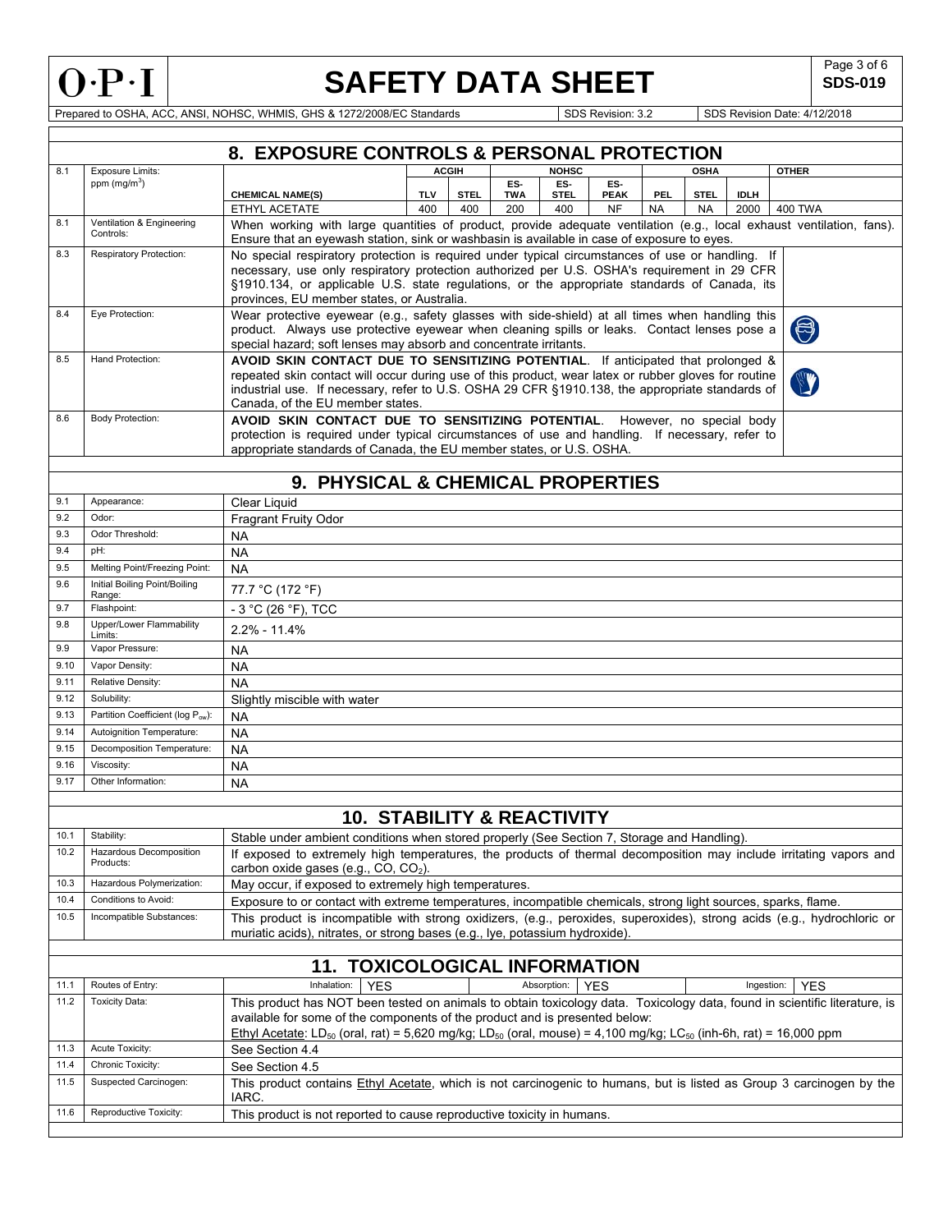

**SDS-019** 

Prepared to OSHA, ACC, ANSI, NOHSC, WHMIS, GHS & 1272/2008/EC Standards SUBS Revision: 3.2 SDS Revision: 3.2 SDS Revision Date: 4/12/2018

|      |                                        | 8. EXPOSURE CONTROLS & PERSONAL PROTECTION                                                                                                                                                                                                                                                                                                                        |                                                                                                                                                                                                                                                                                             |              |                   |                    |                    |           |             |             |                          |
|------|----------------------------------------|-------------------------------------------------------------------------------------------------------------------------------------------------------------------------------------------------------------------------------------------------------------------------------------------------------------------------------------------------------------------|---------------------------------------------------------------------------------------------------------------------------------------------------------------------------------------------------------------------------------------------------------------------------------------------|--------------|-------------------|--------------------|--------------------|-----------|-------------|-------------|--------------------------|
| 8.1  | <b>Exposure Limits:</b>                |                                                                                                                                                                                                                                                                                                                                                                   |                                                                                                                                                                                                                                                                                             | <b>ACGIH</b> |                   | <b>NOHSC</b>       |                    |           | <b>OSHA</b> |             | <b>OTHER</b>             |
|      | ppm $(mg/m3)$                          | <b>CHEMICAL NAME(S)</b>                                                                                                                                                                                                                                                                                                                                           | <b>TLV</b>                                                                                                                                                                                                                                                                                  | <b>STEL</b>  | ES-<br><b>TWA</b> | ES-<br><b>STEL</b> | ES-<br><b>PEAK</b> | PEL.      | <b>STEL</b> | <b>IDLH</b> |                          |
|      |                                        | ETHYL ACETATE                                                                                                                                                                                                                                                                                                                                                     | 400                                                                                                                                                                                                                                                                                         | 400          | 200               | 400                | <b>NF</b>          | <b>NA</b> | <b>NA</b>   | 2000        | <b>400 TWA</b>           |
| 8.1  | Ventilation & Engineering<br>Controls: | When working with large quantities of product, provide adequate ventilation (e.g., local exhaust ventilation, fans).<br>Ensure that an eyewash station, sink or washbasin is available in case of exposure to eyes.                                                                                                                                               |                                                                                                                                                                                                                                                                                             |              |                   |                    |                    |           |             |             |                          |
| 8.3  | <b>Respiratory Protection:</b>         | No special respiratory protection is required under typical circumstances of use or handling. If                                                                                                                                                                                                                                                                  |                                                                                                                                                                                                                                                                                             |              |                   |                    |                    |           |             |             |                          |
|      |                                        |                                                                                                                                                                                                                                                                                                                                                                   | necessary, use only respiratory protection authorized per U.S. OSHA's requirement in 29 CFR<br>§1910.134, or applicable U.S. state regulations, or the appropriate standards of Canada, its<br>provinces. EU member states, or Australia.                                                   |              |                   |                    |                    |           |             |             |                          |
| 8.4  | Eye Protection:                        |                                                                                                                                                                                                                                                                                                                                                                   |                                                                                                                                                                                                                                                                                             |              |                   |                    |                    |           |             |             |                          |
|      |                                        |                                                                                                                                                                                                                                                                                                                                                                   | Wear protective eyewear (e.g., safety glasses with side-shield) at all times when handling this<br>5<br>product. Always use protective eyewear when cleaning spills or leaks. Contact lenses pose a<br>special hazard; soft lenses may absorb and concentrate irritants.                    |              |                   |                    |                    |           |             |             |                          |
| 8.5  | Hand Protection:                       | Canada, of the EU member states.                                                                                                                                                                                                                                                                                                                                  | AVOID SKIN CONTACT DUE TO SENSITIZING POTENTIAL. If anticipated that prolonged &<br>repeated skin contact will occur during use of this product, wear latex or rubber gloves for routine<br>industrial use. If necessary, refer to U.S. OSHA 29 CFR §1910.138, the appropriate standards of |              |                   |                    |                    |           |             |             |                          |
| 8.6  | <b>Body Protection:</b>                | AVOID SKIN CONTACT DUE TO SENSITIZING POTENTIAL. However, no special body                                                                                                                                                                                                                                                                                         |                                                                                                                                                                                                                                                                                             |              |                   |                    |                    |           |             |             |                          |
|      |                                        | protection is required under typical circumstances of use and handling. If necessary, refer to<br>appropriate standards of Canada, the EU member states, or U.S. OSHA.                                                                                                                                                                                            |                                                                                                                                                                                                                                                                                             |              |                   |                    |                    |           |             |             |                          |
|      |                                        | 9. PHYSICAL & CHEMICAL PROPERTIES                                                                                                                                                                                                                                                                                                                                 |                                                                                                                                                                                                                                                                                             |              |                   |                    |                    |           |             |             |                          |
| 9.1  | Appearance:                            | Clear Liquid                                                                                                                                                                                                                                                                                                                                                      |                                                                                                                                                                                                                                                                                             |              |                   |                    |                    |           |             |             |                          |
| 9.2  | Odor:                                  | Fragrant Fruity Odor                                                                                                                                                                                                                                                                                                                                              |                                                                                                                                                                                                                                                                                             |              |                   |                    |                    |           |             |             |                          |
| 9.3  | Odor Threshold:                        | <b>NA</b>                                                                                                                                                                                                                                                                                                                                                         |                                                                                                                                                                                                                                                                                             |              |                   |                    |                    |           |             |             |                          |
| 9.4  | pH:                                    | <b>NA</b>                                                                                                                                                                                                                                                                                                                                                         |                                                                                                                                                                                                                                                                                             |              |                   |                    |                    |           |             |             |                          |
| 9.5  | Melting Point/Freezing Point:          | <b>NA</b>                                                                                                                                                                                                                                                                                                                                                         |                                                                                                                                                                                                                                                                                             |              |                   |                    |                    |           |             |             |                          |
| 9.6  | Initial Boiling Point/Boiling          | 77.7 °C (172 °F)                                                                                                                                                                                                                                                                                                                                                  |                                                                                                                                                                                                                                                                                             |              |                   |                    |                    |           |             |             |                          |
| 9.7  | Range:<br>Flashpoint:                  | $-3$ °C (26 °F), TCC                                                                                                                                                                                                                                                                                                                                              |                                                                                                                                                                                                                                                                                             |              |                   |                    |                    |           |             |             |                          |
| 9.8  | Upper/Lower Flammability               | $2.2\% - 11.4\%$                                                                                                                                                                                                                                                                                                                                                  |                                                                                                                                                                                                                                                                                             |              |                   |                    |                    |           |             |             |                          |
| 9.9  | Limits:<br>Vapor Pressure:             | <b>NA</b>                                                                                                                                                                                                                                                                                                                                                         |                                                                                                                                                                                                                                                                                             |              |                   |                    |                    |           |             |             |                          |
| 9.10 | Vapor Density:                         | <b>NA</b>                                                                                                                                                                                                                                                                                                                                                         |                                                                                                                                                                                                                                                                                             |              |                   |                    |                    |           |             |             |                          |
| 9.11 | Relative Density:                      | <b>NA</b>                                                                                                                                                                                                                                                                                                                                                         |                                                                                                                                                                                                                                                                                             |              |                   |                    |                    |           |             |             |                          |
| 9.12 | Solubility:                            | Slightly miscible with water                                                                                                                                                                                                                                                                                                                                      |                                                                                                                                                                                                                                                                                             |              |                   |                    |                    |           |             |             |                          |
| 9.13 | Partition Coefficient (log Pow):       | NA                                                                                                                                                                                                                                                                                                                                                                |                                                                                                                                                                                                                                                                                             |              |                   |                    |                    |           |             |             |                          |
| 9.14 | Autoignition Temperature:              | NA                                                                                                                                                                                                                                                                                                                                                                |                                                                                                                                                                                                                                                                                             |              |                   |                    |                    |           |             |             |                          |
| 9.15 | Decomposition Temperature:             | <b>NA</b>                                                                                                                                                                                                                                                                                                                                                         |                                                                                                                                                                                                                                                                                             |              |                   |                    |                    |           |             |             |                          |
| 9.16 | Viscosity:                             | <b>NA</b>                                                                                                                                                                                                                                                                                                                                                         |                                                                                                                                                                                                                                                                                             |              |                   |                    |                    |           |             |             |                          |
| 9.17 | Other Information:                     | <b>NA</b>                                                                                                                                                                                                                                                                                                                                                         |                                                                                                                                                                                                                                                                                             |              |                   |                    |                    |           |             |             |                          |
|      |                                        |                                                                                                                                                                                                                                                                                                                                                                   |                                                                                                                                                                                                                                                                                             |              |                   |                    |                    |           |             |             |                          |
|      |                                        | <b>10. STABILITY &amp; REACTIVITY</b>                                                                                                                                                                                                                                                                                                                             |                                                                                                                                                                                                                                                                                             |              |                   |                    |                    |           |             |             |                          |
| 10.1 | Stability:                             | Stable under ambient conditions when stored properly (See Section 7, Storage and Handling).                                                                                                                                                                                                                                                                       |                                                                                                                                                                                                                                                                                             |              |                   |                    |                    |           |             |             |                          |
| 10.2 | Hazardous Decomposition<br>Products:   | If exposed to extremely high temperatures, the products of thermal decomposition may include irritating vapors and<br>carbon oxide gases (e.g., CO, CO <sub>2</sub> ).                                                                                                                                                                                            |                                                                                                                                                                                                                                                                                             |              |                   |                    |                    |           |             |             |                          |
| 10.3 | Hazardous Polymerization:              | May occur, if exposed to extremely high temperatures.                                                                                                                                                                                                                                                                                                             |                                                                                                                                                                                                                                                                                             |              |                   |                    |                    |           |             |             |                          |
| 10.4 | Conditions to Avoid:                   | Exposure to or contact with extreme temperatures, incompatible chemicals, strong light sources, sparks, flame.                                                                                                                                                                                                                                                    |                                                                                                                                                                                                                                                                                             |              |                   |                    |                    |           |             |             |                          |
| 10.5 | Incompatible Substances:               | This product is incompatible with strong oxidizers, (e.g., peroxides, superoxides), strong acids (e.g., hydrochloric or<br>muriatic acids), nitrates, or strong bases (e.g., Iye, potassium hydroxide).                                                                                                                                                           |                                                                                                                                                                                                                                                                                             |              |                   |                    |                    |           |             |             |                          |
|      | <b>11. TOXICOLOGICAL INFORMATION</b>   |                                                                                                                                                                                                                                                                                                                                                                   |                                                                                                                                                                                                                                                                                             |              |                   |                    |                    |           |             |             |                          |
|      |                                        |                                                                                                                                                                                                                                                                                                                                                                   |                                                                                                                                                                                                                                                                                             |              |                   |                    |                    |           |             |             |                          |
| 11.1 | Routes of Entry:                       | Inhalation:<br><b>YES</b>                                                                                                                                                                                                                                                                                                                                         |                                                                                                                                                                                                                                                                                             |              |                   | Absorption:        | <b>YES</b>         |           |             |             | Ingestion:<br><b>YES</b> |
| 11.2 | <b>Toxicity Data:</b>                  | This product has NOT been tested on animals to obtain toxicology data. Toxicology data, found in scientific literature, is<br>available for some of the components of the product and is presented below:<br>Ethyl Acetate: LD <sub>50</sub> (oral, rat) = 5,620 mg/kg; LD <sub>50</sub> (oral, mouse) = 4,100 mg/kg; LC <sub>50</sub> (inh-6h, rat) = 16,000 ppm |                                                                                                                                                                                                                                                                                             |              |                   |                    |                    |           |             |             |                          |
| 11.3 | Acute Toxicity:                        | See Section 4.4                                                                                                                                                                                                                                                                                                                                                   |                                                                                                                                                                                                                                                                                             |              |                   |                    |                    |           |             |             |                          |
| 11.4 | Chronic Toxicity:                      | See Section 4.5                                                                                                                                                                                                                                                                                                                                                   |                                                                                                                                                                                                                                                                                             |              |                   |                    |                    |           |             |             |                          |
| 11.5 | Suspected Carcinogen:                  | This product contains Ethyl Acetate, which is not carcinogenic to humans, but is listed as Group 3 carcinogen by the<br>IARC.                                                                                                                                                                                                                                     |                                                                                                                                                                                                                                                                                             |              |                   |                    |                    |           |             |             |                          |
| 11.6 | Reproductive Toxicity:                 | This product is not reported to cause reproductive toxicity in humans.                                                                                                                                                                                                                                                                                            |                                                                                                                                                                                                                                                                                             |              |                   |                    |                    |           |             |             |                          |
|      |                                        |                                                                                                                                                                                                                                                                                                                                                                   |                                                                                                                                                                                                                                                                                             |              |                   |                    |                    |           |             |             |                          |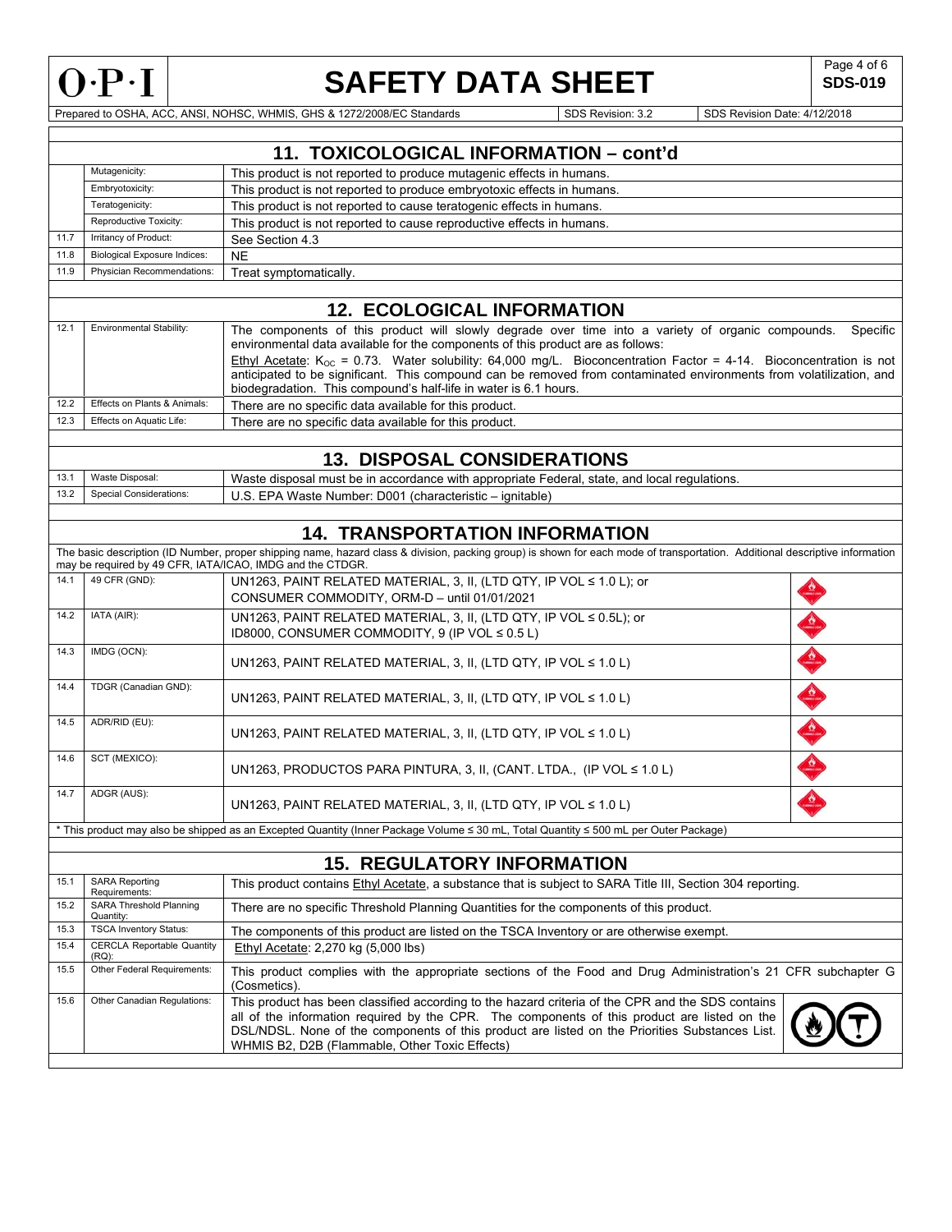

## **SAFETY DATA SHEET**

**SDS-019** 

|      |                                               | Prepared to OSHA, ACC, ANSI, NOHSC, WHMIS, GHS & 1272/2008/EC Standards                                                                                                                                                                                                                                                                                                                                                                               | SDS Revision: 3.2                                                      | SDS Revision Date: 4/12/2018 |  |  |  |  |  |  |
|------|-----------------------------------------------|-------------------------------------------------------------------------------------------------------------------------------------------------------------------------------------------------------------------------------------------------------------------------------------------------------------------------------------------------------------------------------------------------------------------------------------------------------|------------------------------------------------------------------------|------------------------------|--|--|--|--|--|--|
|      |                                               |                                                                                                                                                                                                                                                                                                                                                                                                                                                       |                                                                        |                              |  |  |  |  |  |  |
|      |                                               | 11. TOXICOLOGICAL INFORMATION - cont'd                                                                                                                                                                                                                                                                                                                                                                                                                |                                                                        |                              |  |  |  |  |  |  |
|      | Mutagenicity:                                 | This product is not reported to produce mutagenic effects in humans.                                                                                                                                                                                                                                                                                                                                                                                  |                                                                        |                              |  |  |  |  |  |  |
|      | Embryotoxicity:                               |                                                                                                                                                                                                                                                                                                                                                                                                                                                       | This product is not reported to produce embryotoxic effects in humans. |                              |  |  |  |  |  |  |
|      | Teratogenicity:                               | This product is not reported to cause teratogenic effects in humans.                                                                                                                                                                                                                                                                                                                                                                                  |                                                                        |                              |  |  |  |  |  |  |
|      | Reproductive Toxicity:                        | This product is not reported to cause reproductive effects in humans.                                                                                                                                                                                                                                                                                                                                                                                 |                                                                        |                              |  |  |  |  |  |  |
| 11.7 | Irritancy of Product:                         | See Section 4.3                                                                                                                                                                                                                                                                                                                                                                                                                                       |                                                                        |                              |  |  |  |  |  |  |
| 11.8 | <b>Biological Exposure Indices:</b>           | <b>NE</b>                                                                                                                                                                                                                                                                                                                                                                                                                                             |                                                                        |                              |  |  |  |  |  |  |
| 11.9 | Physician Recommendations:                    | Treat symptomatically.                                                                                                                                                                                                                                                                                                                                                                                                                                |                                                                        |                              |  |  |  |  |  |  |
|      |                                               |                                                                                                                                                                                                                                                                                                                                                                                                                                                       |                                                                        |                              |  |  |  |  |  |  |
|      |                                               | <b>12. ECOLOGICAL INFORMATION</b>                                                                                                                                                                                                                                                                                                                                                                                                                     |                                                                        |                              |  |  |  |  |  |  |
| 12.1 | Environmental Stability:                      | The components of this product will slowly degrade over time into a variety of organic compounds. Specific<br>environmental data available for the components of this product are as follows:<br>Ethyl Acetate: $K_{\text{OC}}$ = 0.73. Water solubility: 64,000 mg/L. Bioconcentration Factor = 4-14. Bioconcentration is not<br>anticipated to be significant. This compound can be removed from contaminated environments from volatilization, and |                                                                        |                              |  |  |  |  |  |  |
|      |                                               | biodegradation. This compound's half-life in water is 6.1 hours.                                                                                                                                                                                                                                                                                                                                                                                      |                                                                        |                              |  |  |  |  |  |  |
| 12.2 | Effects on Plants & Animals:                  | There are no specific data available for this product.                                                                                                                                                                                                                                                                                                                                                                                                |                                                                        |                              |  |  |  |  |  |  |
| 12.3 | Effects on Aquatic Life:                      | There are no specific data available for this product.                                                                                                                                                                                                                                                                                                                                                                                                |                                                                        |                              |  |  |  |  |  |  |
|      |                                               | <b>13. DISPOSAL CONSIDERATIONS</b>                                                                                                                                                                                                                                                                                                                                                                                                                    |                                                                        |                              |  |  |  |  |  |  |
| 13.1 | Waste Disposal:                               |                                                                                                                                                                                                                                                                                                                                                                                                                                                       |                                                                        |                              |  |  |  |  |  |  |
| 13.2 | Special Considerations:                       | Waste disposal must be in accordance with appropriate Federal, state, and local requlations.                                                                                                                                                                                                                                                                                                                                                          |                                                                        |                              |  |  |  |  |  |  |
|      |                                               | U.S. EPA Waste Number: D001 (characteristic - ignitable)                                                                                                                                                                                                                                                                                                                                                                                              |                                                                        |                              |  |  |  |  |  |  |
|      |                                               | <b>14. TRANSPORTATION INFORMATION</b>                                                                                                                                                                                                                                                                                                                                                                                                                 |                                                                        |                              |  |  |  |  |  |  |
|      |                                               | The basic description (ID Number, proper shipping name, hazard class & division, packing group) is shown for each mode of transportation. Additional descriptive information                                                                                                                                                                                                                                                                          |                                                                        |                              |  |  |  |  |  |  |
|      |                                               | may be required by 49 CFR, IATA/ICAO, IMDG and the CTDGR.                                                                                                                                                                                                                                                                                                                                                                                             |                                                                        |                              |  |  |  |  |  |  |
| 14.1 | 49 CFR (GND):                                 | UN1263, PAINT RELATED MATERIAL, 3, II, (LTD QTY, IP VOL ≤ 1.0 L); or<br>CONSUMER COMMODITY, ORM-D - until 01/01/2021                                                                                                                                                                                                                                                                                                                                  |                                                                        |                              |  |  |  |  |  |  |
| 14.2 | IATA (AIR):                                   | UN1263, PAINT RELATED MATERIAL, 3, II, (LTD QTY, IP VOL ≤ 0.5L); or<br>ID8000, CONSUMER COMMODITY, 9 (IP VOL ≤ 0.5 L)                                                                                                                                                                                                                                                                                                                                 |                                                                        |                              |  |  |  |  |  |  |
| 14.3 | IMDG (OCN):                                   | UN1263, PAINT RELATED MATERIAL, 3, II, (LTD QTY, IP VOL $\leq 1.0$ L)                                                                                                                                                                                                                                                                                                                                                                                 |                                                                        |                              |  |  |  |  |  |  |
| 14.4 | TDGR (Canadian GND):                          | UN1263, PAINT RELATED MATERIAL, 3, II, (LTD QTY, IP VOL ≤ 1.0 L)                                                                                                                                                                                                                                                                                                                                                                                      |                                                                        |                              |  |  |  |  |  |  |
| 14.5 | ADR/RID (EU):                                 | UN1263, PAINT RELATED MATERIAL, 3, II, (LTD QTY, IP VOL ≤ 1.0 L)                                                                                                                                                                                                                                                                                                                                                                                      |                                                                        |                              |  |  |  |  |  |  |
| 14.6 | SCT (MEXICO):                                 | UN1263, PRODUCTOS PARA PINTURA, 3, II, (CANT. LTDA., (IP VOL $\leq 1.0$ L)                                                                                                                                                                                                                                                                                                                                                                            |                                                                        |                              |  |  |  |  |  |  |
| 14.7 | ADGR (AUS):                                   | UN1263, PAINT RELATED MATERIAL, 3, II, (LTD QTY, IP VOL $\leq 1.0$ L)                                                                                                                                                                                                                                                                                                                                                                                 |                                                                        |                              |  |  |  |  |  |  |
|      |                                               | * This product may also be shipped as an Excepted Quantity (Inner Package Volume ≤ 30 mL, Total Quantity ≤ 500 mL per Outer Package)                                                                                                                                                                                                                                                                                                                  |                                                                        |                              |  |  |  |  |  |  |
|      |                                               |                                                                                                                                                                                                                                                                                                                                                                                                                                                       |                                                                        |                              |  |  |  |  |  |  |
|      |                                               | <b>15. REGULATORY INFORMATION</b>                                                                                                                                                                                                                                                                                                                                                                                                                     |                                                                        |                              |  |  |  |  |  |  |
| 15.1 | <b>SARA Reporting</b><br>Requirements:        | This product contains Ethyl Acetate, a substance that is subject to SARA Title III, Section 304 reporting.                                                                                                                                                                                                                                                                                                                                            |                                                                        |                              |  |  |  |  |  |  |
| 15.2 | SARA Threshold Planning<br>Quantity:          | There are no specific Threshold Planning Quantities for the components of this product.                                                                                                                                                                                                                                                                                                                                                               |                                                                        |                              |  |  |  |  |  |  |
| 15.3 | TSCA Inventory Status:                        | The components of this product are listed on the TSCA Inventory or are otherwise exempt.                                                                                                                                                                                                                                                                                                                                                              |                                                                        |                              |  |  |  |  |  |  |
| 15.4 | <b>CERCLA Reportable Quantity</b><br>$(RQ)$ : | Ethyl Acetate: 2,270 kg (5,000 lbs)                                                                                                                                                                                                                                                                                                                                                                                                                   |                                                                        |                              |  |  |  |  |  |  |
| 15.5 | Other Federal Requirements:                   | This product complies with the appropriate sections of the Food and Drug Administration's 21 CFR subchapter G<br>(Cosmetics)                                                                                                                                                                                                                                                                                                                          |                                                                        |                              |  |  |  |  |  |  |
| 15.6 | Other Canadian Regulations:                   | This product has been classified according to the hazard criteria of the CPR and the SDS contains<br>all of the information required by the CPR. The components of this product are listed on the<br>DSL/NDSL. None of the components of this product are listed on the Priorities Substances List.<br>WHMIS B2, D2B (Flammable, Other Toxic Effects)                                                                                                 |                                                                        |                              |  |  |  |  |  |  |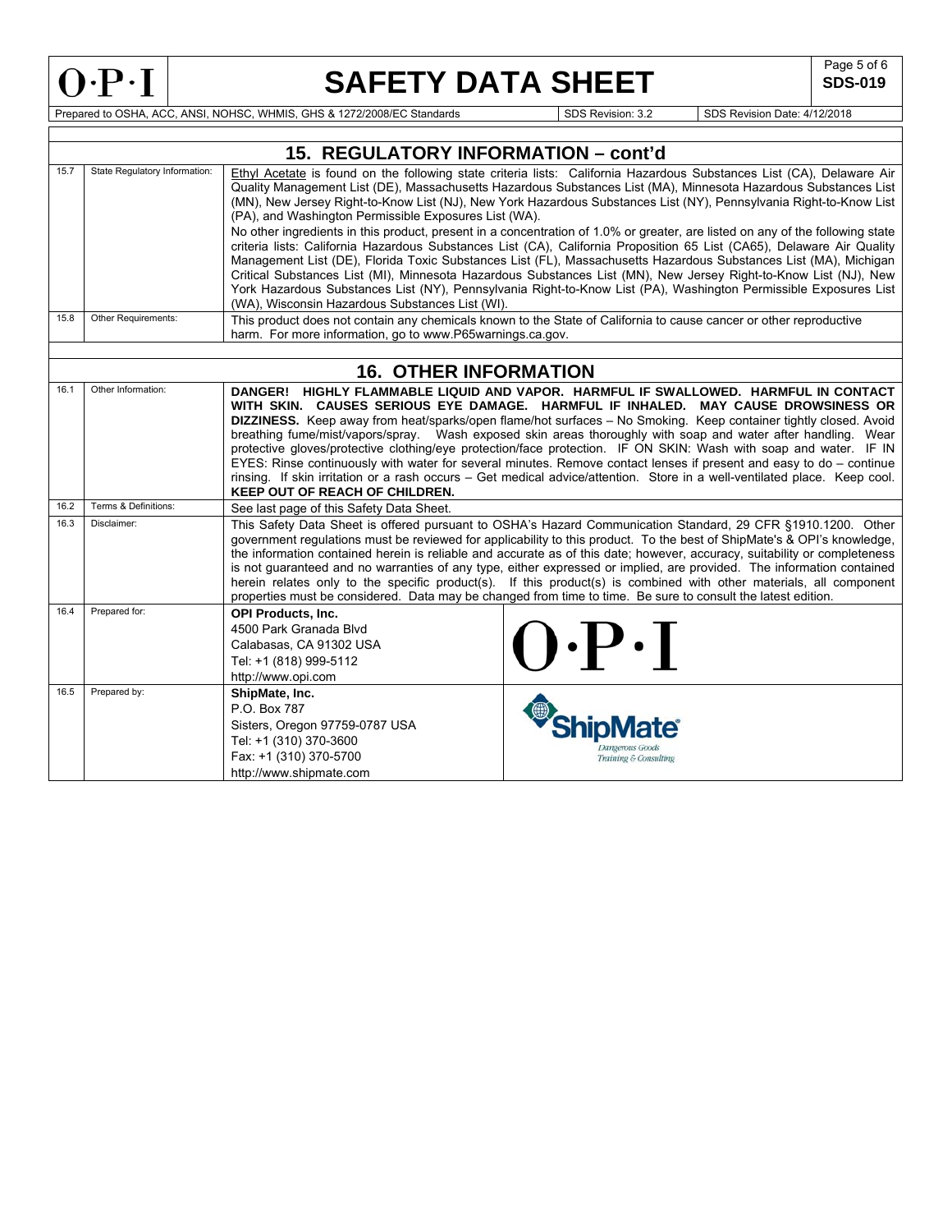**SDS-019** 

Prepared to OSHA, ACC, ANSI, NOHSC, WHMIS, GHS & 1272/2008/EC Standards Superintendent Superintendent Superintendent SDS Revision: 3.2 SDS Revision Date: 4/12/2018

|      |                               | 15. REGULATORY INFORMATION - cont'd                                                                                                                                                                                                                                                                                                                                                                                                                                                                                                                                                                                                                                                                                                                                                                                                                                                                                                                                                                                                                                                               |  |  |  |  |  |
|------|-------------------------------|---------------------------------------------------------------------------------------------------------------------------------------------------------------------------------------------------------------------------------------------------------------------------------------------------------------------------------------------------------------------------------------------------------------------------------------------------------------------------------------------------------------------------------------------------------------------------------------------------------------------------------------------------------------------------------------------------------------------------------------------------------------------------------------------------------------------------------------------------------------------------------------------------------------------------------------------------------------------------------------------------------------------------------------------------------------------------------------------------|--|--|--|--|--|
| 15.7 | State Regulatory Information: | Ethyl Acetate is found on the following state criteria lists: California Hazardous Substances List (CA), Delaware Air<br>Quality Management List (DE), Massachusetts Hazardous Substances List (MA), Minnesota Hazardous Substances List<br>(MN), New Jersey Right-to-Know List (NJ), New York Hazardous Substances List (NY), Pennsylvania Right-to-Know List<br>(PA), and Washington Permissible Exposures List (WA).<br>No other ingredients in this product, present in a concentration of 1.0% or greater, are listed on any of the following state<br>criteria lists: California Hazardous Substances List (CA), California Proposition 65 List (CA65), Delaware Air Quality<br>Management List (DE), Florida Toxic Substances List (FL), Massachusetts Hazardous Substances List (MA), Michigan<br>Critical Substances List (MI), Minnesota Hazardous Substances List (MN), New Jersey Right-to-Know List (NJ), New<br>York Hazardous Substances List (NY), Pennsylvania Right-to-Know List (PA), Washington Permissible Exposures List<br>(WA), Wisconsin Hazardous Substances List (WI). |  |  |  |  |  |
| 15.8 | Other Requirements:           | This product does not contain any chemicals known to the State of California to cause cancer or other reproductive                                                                                                                                                                                                                                                                                                                                                                                                                                                                                                                                                                                                                                                                                                                                                                                                                                                                                                                                                                                |  |  |  |  |  |
|      |                               | harm. For more information, go to www.P65warnings.ca.gov.                                                                                                                                                                                                                                                                                                                                                                                                                                                                                                                                                                                                                                                                                                                                                                                                                                                                                                                                                                                                                                         |  |  |  |  |  |
|      |                               |                                                                                                                                                                                                                                                                                                                                                                                                                                                                                                                                                                                                                                                                                                                                                                                                                                                                                                                                                                                                                                                                                                   |  |  |  |  |  |
| 16.1 | Other Information:            | <b>16. OTHER INFORMATION</b><br>DANGER! HIGHLY FLAMMABLE LIQUID AND VAPOR. HARMFUL IF SWALLOWED. HARMFUL IN CONTACT                                                                                                                                                                                                                                                                                                                                                                                                                                                                                                                                                                                                                                                                                                                                                                                                                                                                                                                                                                               |  |  |  |  |  |
|      |                               | WITH SKIN. CAUSES SERIOUS EYE DAMAGE. HARMFUL IF INHALED. MAY CAUSE DROWSINESS OR<br>DIZZINESS. Keep away from heat/sparks/open flame/hot surfaces - No Smoking. Keep container tightly closed. Avoid<br>breathing fume/mist/vapors/spray. Wash exposed skin areas thoroughly with soap and water after handling. Wear<br>protective gloves/protective clothing/eye protection/face protection. IF ON SKIN: Wash with soap and water. IF IN<br>EYES: Rinse continuously with water for several minutes. Remove contact lenses if present and easy to do – continue<br>rinsing. If skin irritation or a rash occurs – Get medical advice/attention. Store in a well-ventilated place. Keep cool.<br>KEEP OUT OF REACH OF CHILDREN.                                                                                                                                                                                                                                                                                                                                                                 |  |  |  |  |  |
| 16.2 | Terms & Definitions:          | See last page of this Safety Data Sheet.                                                                                                                                                                                                                                                                                                                                                                                                                                                                                                                                                                                                                                                                                                                                                                                                                                                                                                                                                                                                                                                          |  |  |  |  |  |
| 16.3 | Disclaimer:                   | This Safety Data Sheet is offered pursuant to OSHA's Hazard Communication Standard, 29 CFR §1910.1200. Other<br>government regulations must be reviewed for applicability to this product. To the best of ShipMate's & OPI's knowledge,<br>the information contained herein is reliable and accurate as of this date; however, accuracy, suitability or completeness<br>is not guaranteed and no warranties of any type, either expressed or implied, are provided. The information contained<br>herein relates only to the specific product(s). If this product(s) is combined with other materials, all component<br>properties must be considered. Data may be changed from time to time. Be sure to consult the latest edition.                                                                                                                                                                                                                                                                                                                                                               |  |  |  |  |  |
| 16.4 | Prepared for:                 | <b>OPI Products, Inc.</b><br>4500 Park Granada Blvd<br>$() \cdot P \cdot I$<br>Calabasas, CA 91302 USA<br>Tel: +1 (818) 999-5112<br>http://www.opi.com                                                                                                                                                                                                                                                                                                                                                                                                                                                                                                                                                                                                                                                                                                                                                                                                                                                                                                                                            |  |  |  |  |  |
| 16.5 | Prepared by:                  | ShipMate, Inc.<br>P.O. Box 787<br>Sisters, Oregon 97759-0787 USA<br>Tel: +1 (310) 370-3600<br><b>Rangerous Goods</b><br>Fax: +1 (310) 370-5700<br>Training & Consulting<br>http://www.shipmate.com                                                                                                                                                                                                                                                                                                                                                                                                                                                                                                                                                                                                                                                                                                                                                                                                                                                                                                |  |  |  |  |  |